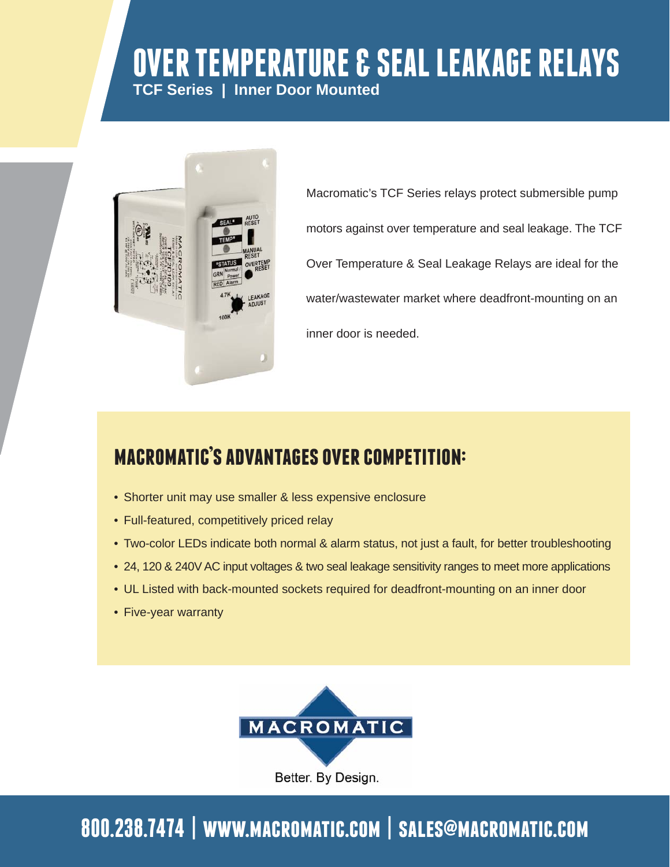# **OVER TEMPERATURE & SEAL LEAKAGE RELAYS TCF Series | Inner Door Mounted**



Macromatic's TCF Series relays protect submersible pump motors against over temperature and seal leakage. The TCF Over Temperature & Seal Leakage Relays are ideal for the water/wastewater market where deadfront-mounting on an inner door is needed.

## **macromatic's advantages over competition:**

- Shorter unit may use smaller & less expensive enclosure
- Full-featured, competitively priced relay
- Two-color LEDs indicate both normal & alarm status, not just a fault, for better troubleshooting
- 24, 120 & 240V AC input voltages & two seal leakage sensitivity ranges to meet more applications
- UL Listed with back-mounted sockets required for deadfront-mounting on an inner door
- Five-year warranty



# **800.238.7474 | www.macromatic.com | sales@macromatic.com**